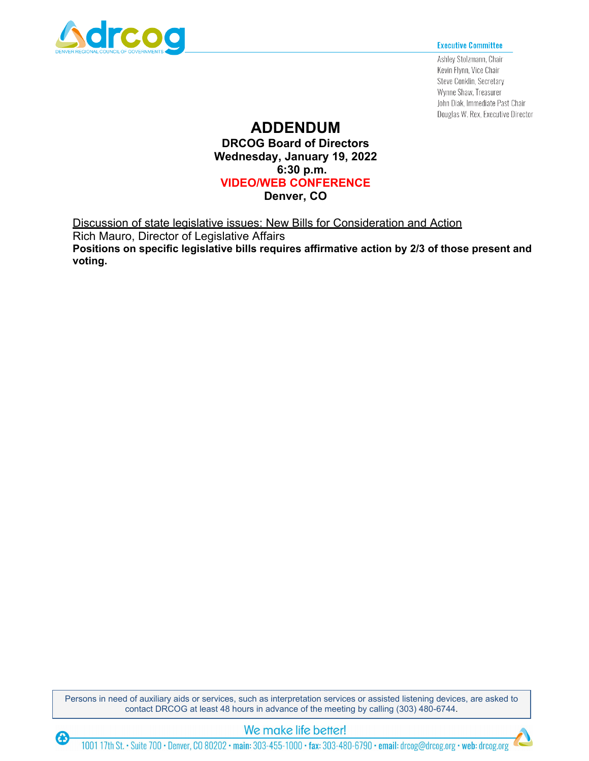

 $\bigcirc$ 

#### **Executive Committee**

Ashley Stolzmann, Chair Kevin Flynn, Vice Chair Steve Conklin, Secretary Wynne Shaw, Treasurer John Diak, Immediate Past Chair Douglas W. Rex, Executive Director

# **ADDENDUM**

**DRCOG Board of Directors Wednesday, January 19, 2022 6:30 p.m. VIDEO/WEB CONFERENCE Denver, CO**

Discussion of state legislative issues: New Bills for Consideration and Action Rich Mauro, Director of Legislative Affairs **Positions on specific legislative bills requires affirmative action by 2/3 of those present and voting.**

Persons in need of auxiliary aids or services, such as interpretation services or assisted listening devices, are asked to contact DRCOG at least 48 hours in advance of the meeting by calling (303) 480-6744.

### We make life better!

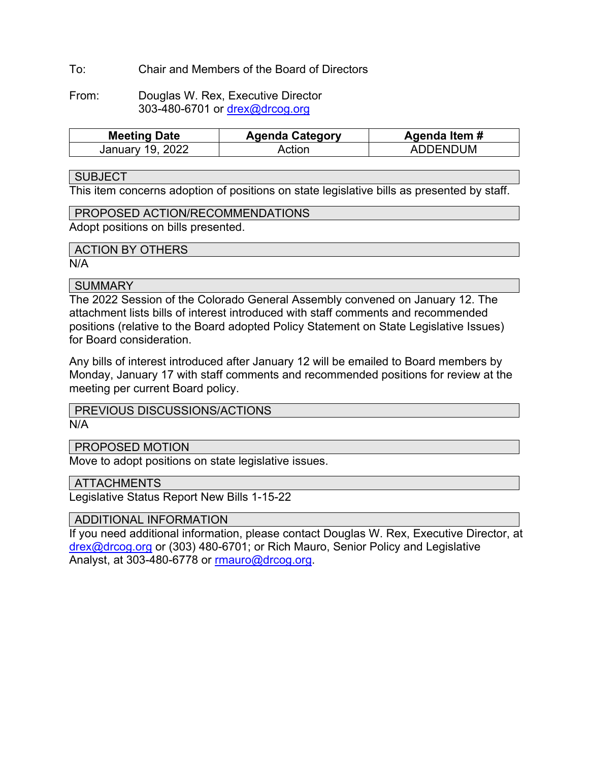### To: Chair and Members of the Board of Directors

From: Douglas W. Rex, Executive Director 303-480-6701 or [drex@drcog.org](mailto:drex@drcog.org)

| <b>Meeting Date</b> | <b>Agenda Category</b> | Agenda Item # |  |  |
|---------------------|------------------------|---------------|--|--|
| January 19, 2022    | Action                 | ADDENDUM      |  |  |

#### **SUBJECT**

This item concerns adoption of positions on state legislative bills as presented by staff.

### PROPOSED ACTION/RECOMMENDATIONS

Adopt positions on bills presented.

### ACTION BY OTHERS

N/A

### **SUMMARY**

The 2022 Session of the Colorado General Assembly convened on January 12. The attachment lists bills of interest introduced with staff comments and recommended positions (relative to the Board adopted Policy Statement on State Legislative Issues) for Board consideration.

Any bills of interest introduced after January 12 will be emailed to Board members by Monday, January 17 with staff comments and recommended positions for review at the meeting per current Board policy.

## PREVIOUS DISCUSSIONS/ACTIONS

N/A

### PROPOSED MOTION

Move to adopt positions on state legislative issues.

#### **ATTACHMENTS**

Legislative Status Report New Bills 1-15-22

### ADDITIONAL INFORMATION

If you need additional information, please contact Douglas W. Rex, Executive Director, at [drex@drcog.org](mailto:drex@drcog.org) or (303) 480-6701; or Rich Mauro, Senior Policy and Legislative Analyst, at 303-480-6778 or [rmauro@drcog.org.](mailto:rmauro@drcog.org)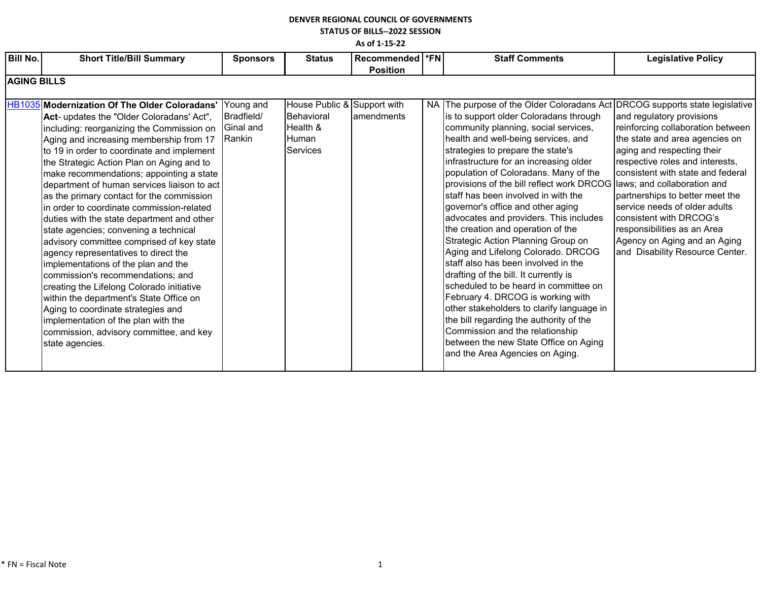### **DENVER REGIONAL COUNCIL OF GOVERNMENTS STATUS OF BILLS--2022 SESSION**

**As of 1-15-22**

| <b>Bill No.</b> | <b>Short Title/Bill Summary</b>                                                         | <b>Sponsors</b> | <b>Status</b>               | Recommended  *FN |  | <b>Staff Comments</b>                                                                                          | <b>Legislative Policy</b>                                            |  |  |
|-----------------|-----------------------------------------------------------------------------------------|-----------------|-----------------------------|------------------|--|----------------------------------------------------------------------------------------------------------------|----------------------------------------------------------------------|--|--|
|                 |                                                                                         |                 |                             | <b>Position</b>  |  |                                                                                                                |                                                                      |  |  |
|                 | <b>AGING BILLS</b>                                                                      |                 |                             |                  |  |                                                                                                                |                                                                      |  |  |
|                 | <b>HB1035</b> Modernization Of The Older Coloradans'                                    | Young and       | House Public & Support with |                  |  | NA The purpose of the Older Coloradans Act DRCOG supports state legislative                                    |                                                                      |  |  |
|                 | Act- updates the "Older Coloradans' Act",                                               | Bradfield/      | Behavioral                  | lamendments      |  | is to support older Coloradans through                                                                         | and regulatory provisions                                            |  |  |
|                 | including: reorganizing the Commission on                                               | Ginal and       | Health &<br>Human           |                  |  | community planning, social services,                                                                           | reinforcing collaboration between                                    |  |  |
|                 | Aging and increasing membership from 17<br>to 19 in order to coordinate and implement   | Rankin          | <b>Services</b>             |                  |  | health and well-being services, and<br>strategies to prepare the state's                                       | the state and area agencies on<br>aging and respecting their         |  |  |
|                 | the Strategic Action Plan on Aging and to                                               |                 |                             |                  |  | infrastructure for an increasing older                                                                         | respective roles and interests,<br>consistent with state and federal |  |  |
|                 | make recommendations; appointing a state<br>department of human services liaison to act |                 |                             |                  |  | population of Coloradans. Many of the<br>provisions of the bill reflect work DRCOG laws; and collaboration and |                                                                      |  |  |
|                 | as the primary contact for the commission                                               |                 |                             |                  |  | staff has been involved in with the                                                                            | partnerships to better meet the                                      |  |  |
|                 | in order to coordinate commission-related<br>duties with the state department and other |                 |                             |                  |  | governor's office and other aging<br>advocates and providers. This includes                                    | service needs of older adults<br>consistent with DRCOG's             |  |  |
|                 | state agencies; convening a technical                                                   |                 |                             |                  |  | the creation and operation of the                                                                              | responsibilities as an Area                                          |  |  |
|                 | advisory committee comprised of key state                                               |                 |                             |                  |  | Strategic Action Planning Group on                                                                             | Agency on Aging and an Aging                                         |  |  |
|                 | agency representatives to direct the<br>implementations of the plan and the             |                 |                             |                  |  | Aging and Lifelong Colorado. DRCOG<br>staff also has been involved in the                                      | and Disability Resource Center.                                      |  |  |
|                 | commission's recommendations; and                                                       |                 |                             |                  |  | drafting of the bill. It currently is                                                                          |                                                                      |  |  |
|                 | creating the Lifelong Colorado initiative                                               |                 |                             |                  |  | scheduled to be heard in committee on                                                                          |                                                                      |  |  |
|                 | within the department's State Office on<br>Aging to coordinate strategies and           |                 |                             |                  |  | February 4. DRCOG is working with<br>other stakeholders to clarify language in                                 |                                                                      |  |  |
|                 | implementation of the plan with the                                                     |                 |                             |                  |  | the bill regarding the authority of the                                                                        |                                                                      |  |  |
|                 | commission, advisory committee, and key                                                 |                 |                             |                  |  | Commission and the relationship                                                                                |                                                                      |  |  |
|                 | state agencies.                                                                         |                 |                             |                  |  | between the new State Office on Aging                                                                          |                                                                      |  |  |
|                 |                                                                                         |                 |                             |                  |  | and the Area Agencies on Aging.                                                                                |                                                                      |  |  |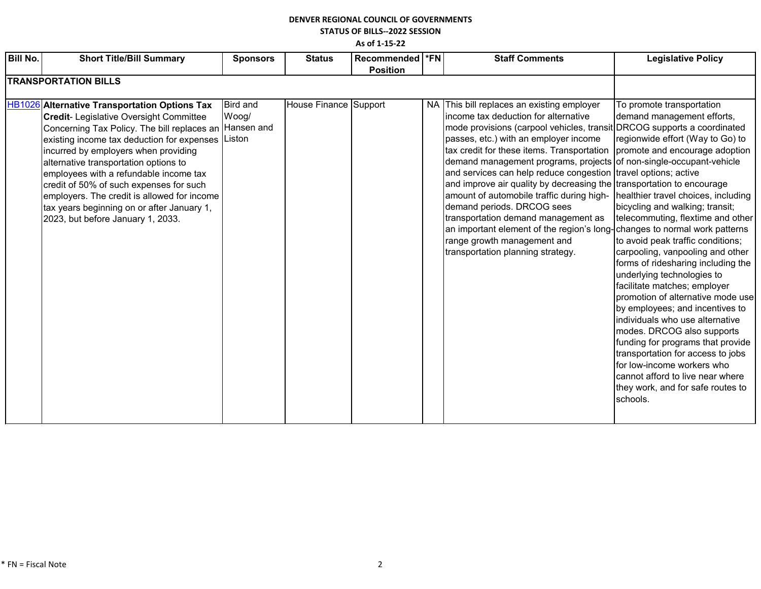### **DENVER REGIONAL COUNCIL OF GOVERNMENTS STATUS OF BILLS--2022 SESSION**

**As of 1-15-22**

| <b>Bill No.</b> | <b>Short Title/Bill Summary</b>                                                                                                                                                                                                                                                                                                                                                                                                                                                                                          | <b>Sponsors</b>          | <b>Status</b>         | Recommended  *FN | <b>Staff Comments</b>                                                                                                                                                                                                                                                                                                                                                                                                                                                                                                                                                                                                                                                                                                                       | <b>Legislative Policy</b>                                                                                                                                                                                                                                                                                                                                                                                                                                                                                                                                                                                                                                                                                                                                       |
|-----------------|--------------------------------------------------------------------------------------------------------------------------------------------------------------------------------------------------------------------------------------------------------------------------------------------------------------------------------------------------------------------------------------------------------------------------------------------------------------------------------------------------------------------------|--------------------------|-----------------------|------------------|---------------------------------------------------------------------------------------------------------------------------------------------------------------------------------------------------------------------------------------------------------------------------------------------------------------------------------------------------------------------------------------------------------------------------------------------------------------------------------------------------------------------------------------------------------------------------------------------------------------------------------------------------------------------------------------------------------------------------------------------|-----------------------------------------------------------------------------------------------------------------------------------------------------------------------------------------------------------------------------------------------------------------------------------------------------------------------------------------------------------------------------------------------------------------------------------------------------------------------------------------------------------------------------------------------------------------------------------------------------------------------------------------------------------------------------------------------------------------------------------------------------------------|
|                 | <b>TRANSPORTATION BILLS</b>                                                                                                                                                                                                                                                                                                                                                                                                                                                                                              |                          |                       | <b>Position</b>  |                                                                                                                                                                                                                                                                                                                                                                                                                                                                                                                                                                                                                                                                                                                                             |                                                                                                                                                                                                                                                                                                                                                                                                                                                                                                                                                                                                                                                                                                                                                                 |
|                 |                                                                                                                                                                                                                                                                                                                                                                                                                                                                                                                          |                          |                       |                  |                                                                                                                                                                                                                                                                                                                                                                                                                                                                                                                                                                                                                                                                                                                                             |                                                                                                                                                                                                                                                                                                                                                                                                                                                                                                                                                                                                                                                                                                                                                                 |
|                 | HB1026 Alternative Transportation Options Tax<br><b>Credit-</b> Legislative Oversight Committee<br>Concerning Tax Policy. The bill replaces an Hansen and<br>existing income tax deduction for expenses   Liston<br>incurred by employers when providing<br>alternative transportation options to<br>employees with a refundable income tax<br>credit of 50% of such expenses for such<br>employers. The credit is allowed for income<br>tax years beginning on or after January 1,<br>2023, but before January 1, 2033. | <b>Bird and</b><br>Woog/ | House Finance Support |                  | NA This bill replaces an existing employer<br>lincome tax deduction for alternative<br>mode provisions (carpool vehicles, transit DRCOG supports a coordinated<br>passes, etc.) with an employer income<br>tax credit for these items. Transportation<br>demand management programs, projects of non-single-occupant-vehicle<br>and services can help reduce congestion travel options; active<br>and improve air quality by decreasing the transportation to encourage<br>amount of automobile traffic during high-<br>demand periods. DRCOG sees<br>transportation demand management as<br>an important element of the region's long- changes to normal work patterns<br>range growth management and<br>transportation planning strategy. | To promote transportation<br>demand management efforts,<br>regionwide effort (Way to Go) to<br>promote and encourage adoption<br>healthier travel choices, including<br>bicycling and walking; transit;<br>telecommuting, flextime and other<br>to avoid peak traffic conditions;<br>carpooling, vanpooling and other<br>forms of ridesharing including the<br>underlying technologies to<br>facilitate matches; employer<br>promotion of alternative mode use<br>by employees; and incentives to<br>individuals who use alternative<br>modes. DRCOG also supports<br>funding for programs that provide<br>transportation for access to jobs<br>for low-income workers who<br>cannot afford to live near where<br>they work, and for safe routes to<br>schools. |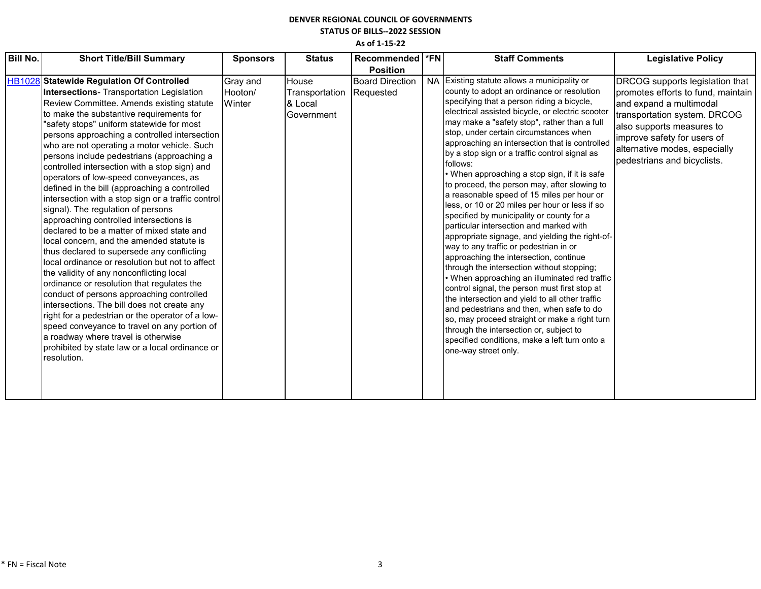### **DENVER REGIONAL COUNCIL OF GOVERNMENTS STATUS OF BILLS--2022 SESSION**

| <b>Bill No.</b> | <b>Short Title/Bill Summary</b>                                                                                                                                                                                                                                                                                                                                                                                                                                                                                                                                                                                                                                                                                                                                                                                                                                                                                                                                                                                                                                                                                                                                                                                                                                     | <b>Sponsors</b>               | <b>Status</b>                                    | Recommended  *FN                    | <b>Staff Comments</b>                                                                                                                                                                                                                                                                                                                                                                                                                                                                                                                                                                                                                                                                                                                                                                                                                                                                                                                                                                                                                                                                                                                                                                                                                                      | <b>Legislative Policy</b>                                                                                                                                                                                                                                    |
|-----------------|---------------------------------------------------------------------------------------------------------------------------------------------------------------------------------------------------------------------------------------------------------------------------------------------------------------------------------------------------------------------------------------------------------------------------------------------------------------------------------------------------------------------------------------------------------------------------------------------------------------------------------------------------------------------------------------------------------------------------------------------------------------------------------------------------------------------------------------------------------------------------------------------------------------------------------------------------------------------------------------------------------------------------------------------------------------------------------------------------------------------------------------------------------------------------------------------------------------------------------------------------------------------|-------------------------------|--------------------------------------------------|-------------------------------------|------------------------------------------------------------------------------------------------------------------------------------------------------------------------------------------------------------------------------------------------------------------------------------------------------------------------------------------------------------------------------------------------------------------------------------------------------------------------------------------------------------------------------------------------------------------------------------------------------------------------------------------------------------------------------------------------------------------------------------------------------------------------------------------------------------------------------------------------------------------------------------------------------------------------------------------------------------------------------------------------------------------------------------------------------------------------------------------------------------------------------------------------------------------------------------------------------------------------------------------------------------|--------------------------------------------------------------------------------------------------------------------------------------------------------------------------------------------------------------------------------------------------------------|
|                 |                                                                                                                                                                                                                                                                                                                                                                                                                                                                                                                                                                                                                                                                                                                                                                                                                                                                                                                                                                                                                                                                                                                                                                                                                                                                     |                               |                                                  | <b>Position</b>                     |                                                                                                                                                                                                                                                                                                                                                                                                                                                                                                                                                                                                                                                                                                                                                                                                                                                                                                                                                                                                                                                                                                                                                                                                                                                            |                                                                                                                                                                                                                                                              |
|                 | HB1028 Statewide Regulation Of Controlled<br><b>Intersections-</b> Transportation Legislation<br>Review Committee. Amends existing statute<br>to make the substantive requirements for<br>'safety stops" uniform statewide for most<br>persons approaching a controlled intersection<br>who are not operating a motor vehicle. Such<br>persons include pedestrians (approaching a<br>controlled intersection with a stop sign) and<br>operators of low-speed conveyances, as<br>defined in the bill (approaching a controlled<br>intersection with a stop sign or a traffic control<br>signal). The regulation of persons<br>approaching controlled intersections is<br>declared to be a matter of mixed state and<br>local concern, and the amended statute is<br>thus declared to supersede any conflicting<br>local ordinance or resolution but not to affect<br>the validity of any nonconflicting local<br>ordinance or resolution that regulates the<br>conduct of persons approaching controlled<br>intersections. The bill does not create any<br>right for a pedestrian or the operator of a low-<br>speed conveyance to travel on any portion of<br>a roadway where travel is otherwise<br>prohibited by state law or a local ordinance or<br>resolution. | Gray and<br>Hooton/<br>Winter | House<br>Transportation<br>& Local<br>Government | <b>Board Direction</b><br>Requested | NA Existing statute allows a municipality or<br>county to adopt an ordinance or resolution<br>specifying that a person riding a bicycle,<br>electrical assisted bicycle, or electric scooter<br>may make a "safety stop", rather than a full<br>stop, under certain circumstances when<br>approaching an intersection that is controlled<br>by a stop sign or a traffic control signal as<br>follows:<br>• When approaching a stop sign, if it is safe<br>to proceed, the person may, after slowing to<br>a reasonable speed of 15 miles per hour or<br>less, or 10 or 20 miles per hour or less if so<br>specified by municipality or county for a<br>particular intersection and marked with<br>appropriate signage, and yielding the right-of-<br>way to any traffic or pedestrian in or<br>approaching the intersection, continue<br>through the intersection without stopping;<br>• When approaching an illuminated red traffic<br>control signal, the person must first stop at<br>the intersection and yield to all other traffic<br>and pedestrians and then, when safe to do<br>so, may proceed straight or make a right turn<br>through the intersection or, subject to<br>specified conditions, make a left turn onto a<br>one-way street only. | DRCOG supports legislation that<br>promotes efforts to fund, maintain<br>and expand a multimodal<br>transportation system. DRCOG<br>also supports measures to<br>improve safety for users of<br>alternative modes, especially<br>pedestrians and bicyclists. |